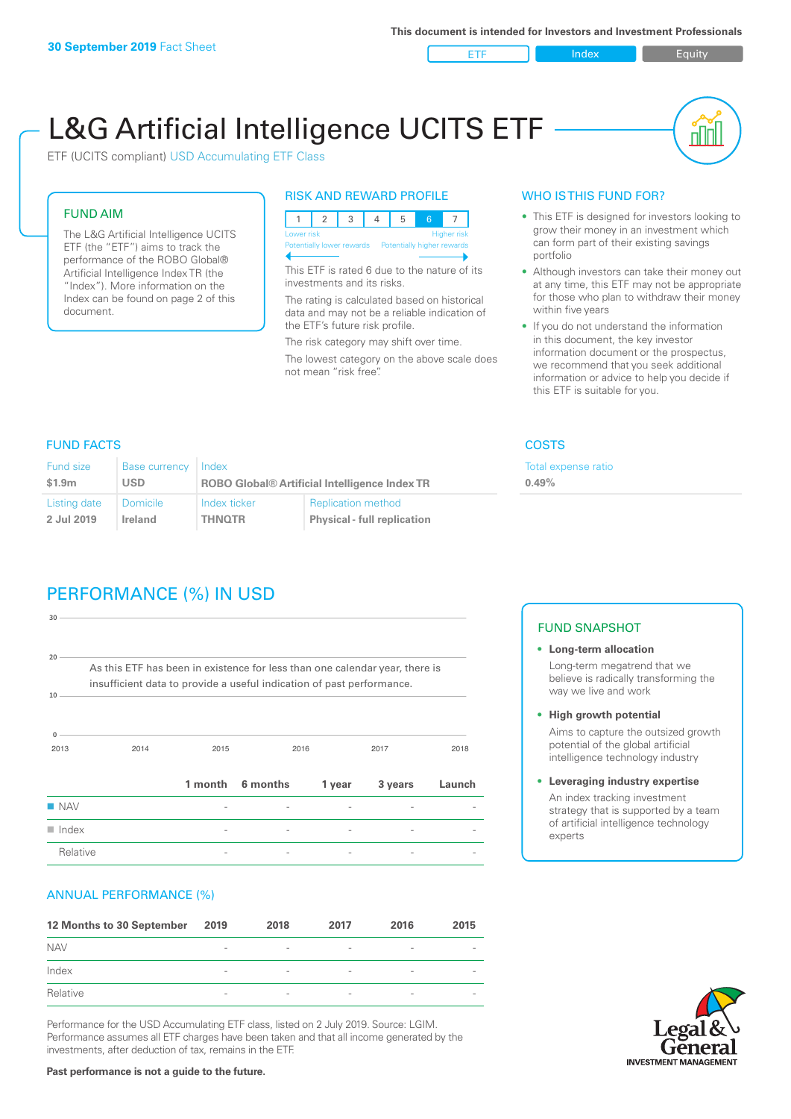#### ETF Index Buity

nn

# L&G Artificial Intelligence UCITS ETF

ETF (UCITS compliant) USD Accumulating ETF Class

#### FUND AIM

The L&G Artificial Intelligence UCITS ETF (the "ETF") aims to track the performance of the ROBO Global® Artificial Intelligence Index TR (the "Index"). More information on the Index can be found on page 2 of this document.

#### RISK AND REWARD PROFILE

| Lower risk<br>Higher risk |  |                           |  |                            |  |  |  |  |
|---------------------------|--|---------------------------|--|----------------------------|--|--|--|--|
|                           |  | Potentially lower rewards |  | Potentially higher rewards |  |  |  |  |
|                           |  |                           |  |                            |  |  |  |  |

This ETF is rated 6 due to the nature of its investments and its risks.

The rating is calculated based on historical data and may not be a reliable indication of the ETF's future risk profile.

The risk category may shift over time. The lowest category on the above scale does not mean "risk free".

#### WHO IS THIS FUND FOR?

- This ETF is designed for investors looking to grow their money in an investment which can form part of their existing savings portfolio
- Although investors can take their money out at any time, this ETF may not be appropriate for those who plan to withdraw their money within five years
- If you do not understand the information in this document, the key investor information document or the prospectus, we recommend that you seek additional information or advice to help you decide if this ETF is suitable for you.

**0.49%**

Total expense ratio

FUND FACTS COSTS

| Fund size    | Base currency   | Index                                                |                                    |  |
|--------------|-----------------|------------------------------------------------------|------------------------------------|--|
| \$1.9m       | <b>USD</b>      | <b>ROBO Global® Artificial Intelligence Index TR</b> |                                    |  |
| Listing date | <b>Domicile</b> | Index ticker                                         | <b>Replication method</b>          |  |
| 2 Jul 2019   | Ireland         | <b>THNOTR</b>                                        | <b>Physical - full replication</b> |  |

# PERFORMANCE (%) IN USD

| $20 -$               |                                                                                                                                                      |      |                  |        |         |        |
|----------------------|------------------------------------------------------------------------------------------------------------------------------------------------------|------|------------------|--------|---------|--------|
| 10                   | As this ETF has been in existence for less than one calendar year, there is<br>insufficient data to provide a useful indication of past performance. |      |                  |        |         |        |
| $\mathbf 0$<br>2013  | 2014                                                                                                                                                 | 2015 |                  | 2016   | 2017    | 2018   |
|                      |                                                                                                                                                      |      | 1 month 6 months | 1 year | 3 years | Launch |
| $\blacksquare$ NAV   |                                                                                                                                                      |      |                  |        |         |        |
| $\blacksquare$ Index |                                                                                                                                                      |      |                  |        |         |        |
| Relative             |                                                                                                                                                      |      |                  |        |         |        |

#### ANNUAL PERFORMANCE (%)

| 12 Months to 30 September | 2019                     | 2018                     | 2017                     | 2016                     | 2015                     |
|---------------------------|--------------------------|--------------------------|--------------------------|--------------------------|--------------------------|
| <b>NAV</b>                | $\qquad \qquad$          | $\overline{\phantom{a}}$ | $\overline{\phantom{a}}$ | $\overline{\phantom{a}}$ | $\overline{\phantom{a}}$ |
| Index                     | $\qquad \qquad$          | $\overline{\phantom{a}}$ | $\overline{\phantom{a}}$ | $\overline{a}$           | $\overline{\phantom{a}}$ |
| Relative                  | $\overline{\phantom{a}}$ | $\overline{\phantom{a}}$ | $\overline{\phantom{a}}$ | $\sim$                   | $\overline{\phantom{a}}$ |

Performance for the USD Accumulating ETF class, listed on 2 July 2019. Source: LGIM. Performance assumes all ETF charges have been taken and that all income generated by the investments, after deduction of tax, remains in the ETF.

#### FUND SNAPSHOT

- **• Long-term allocation** Long-term megatrend that we believe is radically transforming the way we live and work
- **• High growth potential** Aims to capture the outsized growth potential of the global artificial intelligence technology industry
- **• Leveraging industry expertise** An index tracking investment strategy that is supported by a team of artificial intelligence technology experts



**Past performance is not a guide to the future.**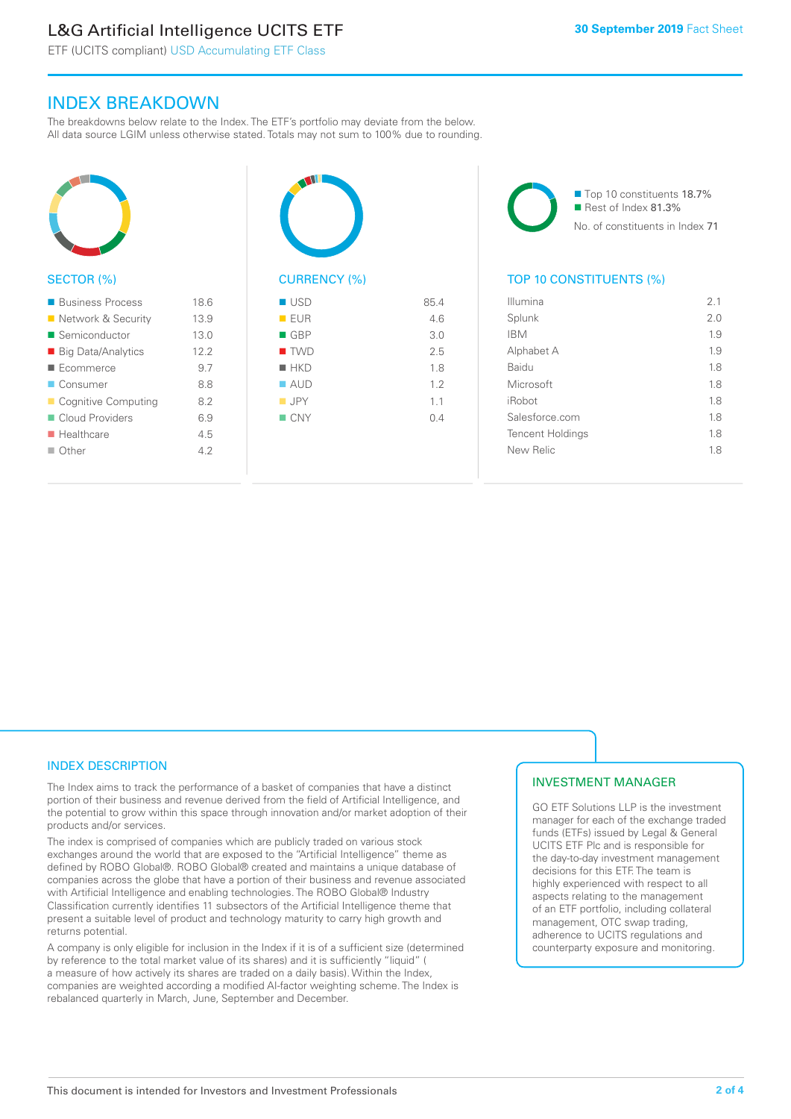# L&G Artificial Intelligence UCITS ETF

ETF (UCITS compliant) USD Accumulating ETF Class

### INDEX BREAKDOWN

The breakdowns below relate to the Index. The ETF's portfolio may deviate from the below. All data source LGIM unless otherwise stated. Totals may not sum to 100% due to rounding.



| ■ Business Process        | 186  |
|---------------------------|------|
| ■ Network & Security      | 13.9 |
| ■ Semiconductor           | 13.0 |
| ■ Big Data/Analytics      | 12.2 |
| Ecommerce                 | 9.7  |
| ■ Consumer                | 88   |
| Cognitive Computing       | 82   |
| Cloud Providers           | 69   |
| $\blacksquare$ Healthcare | 4.5  |
| $\blacksquare$ Other      | 42   |
|                           |      |



| ■ USD              | 85.4 |
|--------------------|------|
| EUR                | 4.6  |
| $\blacksquare$ GBP | 3.0  |
| <b>TWD</b>         | 2.5  |
| $H$ HKD            | 1.8  |
| $\blacksquare$ AUD | 1.2  |
| $\blacksquare$ JPY | 1.1  |
| $\Box$ CNY         | 0.4  |
|                    |      |
|                    |      |

■ Top 10 constituents 18.7% Rest of Index 81.3% No. of constituents in Index 71

#### TOP 10 CONSTITUENTS (%)

| Illumina                | 2.1 |
|-------------------------|-----|
| Splunk                  | 2.0 |
| <b>IBM</b>              | 1.9 |
| Alphabet A              | 1.9 |
| <b>Baidu</b>            | 1.8 |
| Microsoft               | 1.8 |
| iRobot                  | 1.8 |
| Salesforce.com          | 1.8 |
| <b>Tencent Holdings</b> | 1.8 |
| New Relic               | 1.8 |
|                         |     |

#### INDEX DESCRIPTION

The Index aims to track the performance of a basket of companies that have a distinct portion of their business and revenue derived from the field of Artificial Intelligence, and the potential to grow within this space through innovation and/or market adoption of their products and/or services.

The index is comprised of companies which are publicly traded on various stock exchanges around the world that are exposed to the "Artificial Intelligence" theme as defined by ROBO Global®. ROBO Global® created and maintains a unique database of companies across the globe that have a portion of their business and revenue associated with Artificial Intelligence and enabling technologies. The ROBO Global® Industry Classification currently identifies 11 subsectors of the Artificial Intelligence theme that present a suitable level of product and technology maturity to carry high growth and returns potential.

A company is only eligible for inclusion in the Index if it is of a sufficient size (determined by reference to the total market value of its shares) and it is sufficiently "liquid" ( a measure of how actively its shares are traded on a daily basis). Within the Index, companies are weighted according a modified AI-factor weighting scheme. The Index is rebalanced quarterly in March, June, September and December.

#### INVESTMENT MANAGER

GO ETF Solutions LLP is the investment manager for each of the exchange traded funds (ETFs) issued by Legal & General UCITS ETF Plc and is responsible for the day-to-day investment management decisions for this ETF. The team is highly experienced with respect to all aspects relating to the management of an ETF portfolio, including collateral management, OTC swap trading, adherence to UCITS regulations and counterparty exposure and monitoring.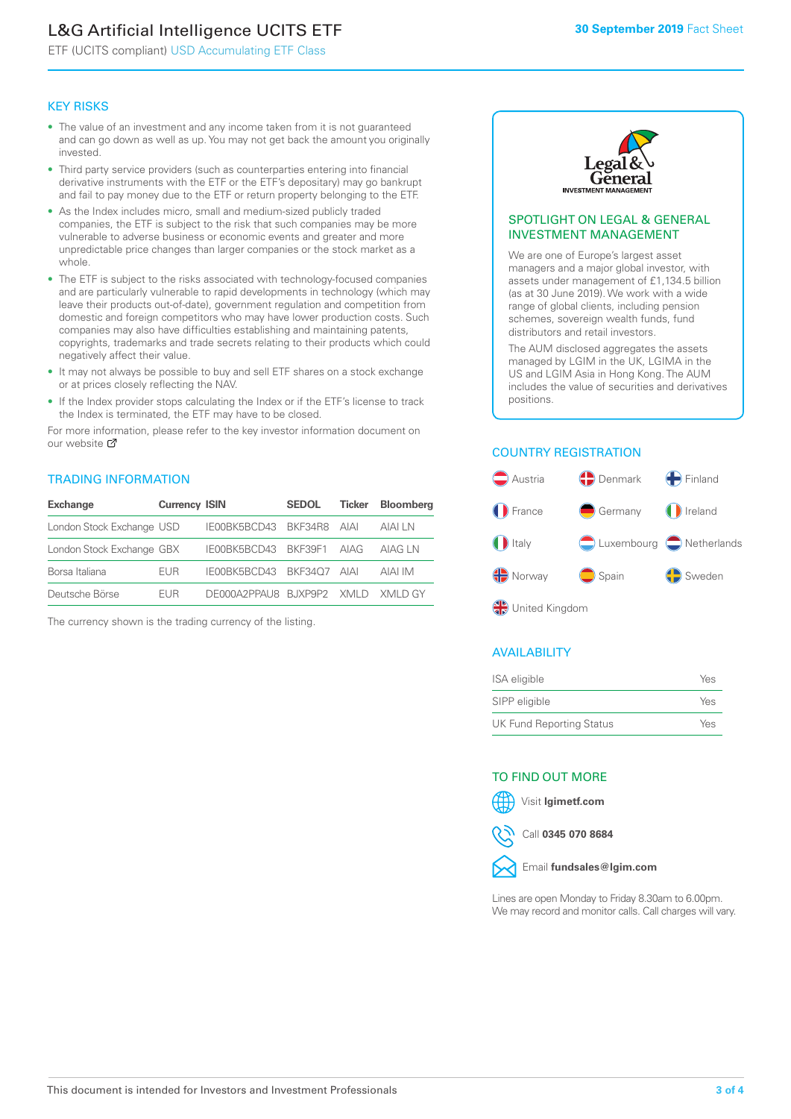# L&G Artificial Intelligence UCITS ETF

ETF (UCITS compliant) USD Accumulating ETF Class

#### KEY RISKS

- The value of an investment and any income taken from it is not guaranteed and can go down as well as up. You may not get back the amount you originally invested.
- Third party service providers (such as counterparties entering into financial derivative instruments with the ETF or the ETF's depositary) may go bankrupt and fail to pay money due to the ETF or return property belonging to the ETF.
- As the Index includes micro, small and medium-sized publicly traded companies, the ETF is subject to the risk that such companies may be more vulnerable to adverse business or economic events and greater and more unpredictable price changes than larger companies or the stock market as a whole.
- The ETF is subject to the risks associated with technology-focused companies and are particularly vulnerable to rapid developments in technology (which may leave their products out-of-date), government regulation and competition from domestic and foreign competitors who may have lower production costs. Such companies may also have difficulties establishing and maintaining patents, copyrights, trademarks and trade secrets relating to their products which could negatively affect their value.
- It may not always be possible to buy and sell ETF shares on a stock exchange or at prices closely reflecting the NAV.
- If the Index provider stops calculating the Index or if the ETF's license to track the Index is terminated, the ETF may have to be closed.

For more information, please refer to the key investor information document on our website Ø

#### TRADING INFORMATION

| <b>Exchange</b>           | <b>Currency ISIN</b> |                                   | <b>SEDOL</b> | Ticker | <b>Bloomberg</b> |
|---------------------------|----------------------|-----------------------------------|--------------|--------|------------------|
| London Stock Exchange USD |                      | IE00BK5BCD43 BKF34R8 AIAI         |              |        | AIAI LN          |
| London Stock Exchange GBX |                      | IE00BK5BCD43 BKF39F1 AIAG         |              |        | AIAG I N         |
| Borsa Italiana            | <b>FUR</b>           | IE00BK5BCD43 BKF34O7 AIAI         |              |        | AIAI IM          |
| Deutsche Börse            | <b>FUR</b>           | DE000A2PPAU8 BUXP9P2 XMLD XMLD GY |              |        |                  |

The currency shown is the trading currency of the listing.



#### SPOTLIGHT ON LEGAL & GENERAL INVESTMENT MANAGEMENT

We are one of Europe's largest asset managers and a major global investor, with assets under management of £1,134.5 billion (as at 30 June 2019). We work with a wide range of global clients, including pension schemes, sovereign wealth funds, fund distributors and retail investors.

The AUM disclosed aggregates the assets managed by LGIM in the UK, LGIMA in the US and LGIM Asia in Hong Kong. The AUM includes the value of securities and derivatives positions.

#### COUNTRY REGISTRATION



#### AVAILABILITY

| ISA eligible                    | Yes |
|---------------------------------|-----|
| SIPP eligible                   | Yes |
| <b>UK Fund Reporting Status</b> | Yes |

#### TO FIND OUT MORE

Visit **lgimetf.com**



Call **0345 070 8684**



Lines are open Monday to Friday 8.30am to 6.00pm. We may record and monitor calls. Call charges will vary.